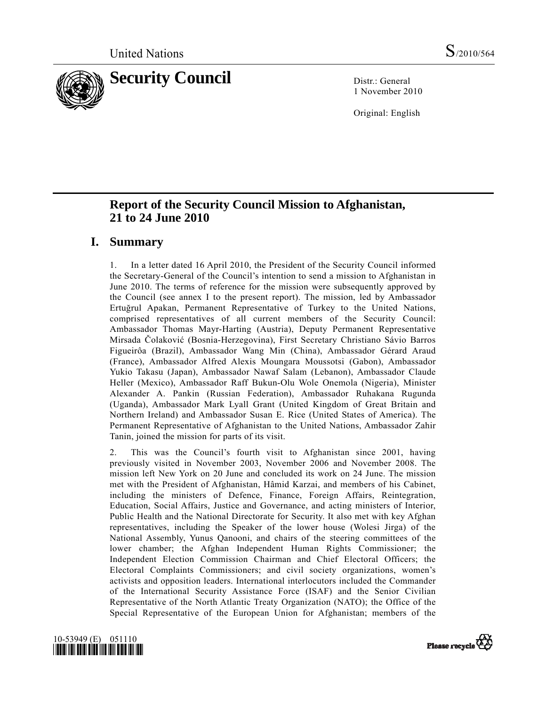

1 November 2010

Original: English

# **Report of the Security Council Mission to Afghanistan, 21 to 24 June 2010**

## **I. Summary**

1. In a letter dated 16 April 2010, the President of the Security Council informed the Secretary-General of the Council's intention to send a mission to Afghanistan in June 2010. The terms of reference for the mission were subsequently approved by the Council (see annex I to the present report). The mission, led by Ambassador Ertuğrul Apakan, Permanent Representative of Turkey to the United Nations, comprised representatives of all current members of the Security Council: Ambassador Thomas Mayr-Harting (Austria), Deputy Permanent Representative Mirsada Čolaković (Bosnia-Herzegovina), First Secretary Christiano Sávio Barros Figueirôa (Brazil), Ambassador Wang Min (China), Ambassador Gérard Araud (France), Ambassador Alfred Alexis Moungara Moussotsi (Gabon), Ambassador Yukio Takasu (Japan), Ambassador Nawaf Salam (Lebanon), Ambassador Claude Heller (Mexico), Ambassador Raff Bukun-Olu Wole Onemola (Nigeria), Minister Alexander A. Pankin (Russian Federation), Ambassador Ruhakana Rugunda (Uganda), Ambassador Mark Lyall Grant (United Kingdom of Great Britain and Northern Ireland) and Ambassador Susan E. Rice (United States of America). The Permanent Representative of Afghanistan to the United Nations, Ambassador Zahir Tanin, joined the mission for parts of its visit.

2. This was the Council's fourth visit to Afghanistan since 2001, having previously visited in November 2003, November 2006 and November 2008. The mission left New York on 20 June and concluded its work on 24 June. The mission met with the President of Afghanistan, Hâmid Karzai, and members of his Cabinet, including the ministers of Defence, Finance, Foreign Affairs, Reintegration, Education, Social Affairs, Justice and Governance, and acting ministers of Interior, Public Health and the National Directorate for Security. It also met with key Afghan representatives, including the Speaker of the lower house (Wolesi Jirga) of the National Assembly, Yunus Qanooni, and chairs of the steering committees of the lower chamber; the Afghan Independent Human Rights Commissioner; the Independent Election Commission Chairman and Chief Electoral Officers; the Electoral Complaints Commissioners; and civil society organizations, women's activists and opposition leaders. International interlocutors included the Commander of the International Security Assistance Force (ISAF) and the Senior Civilian Representative of the North Atlantic Treaty Organization (NATO); the Office of the Special Representative of the European Union for Afghanistan; members of the



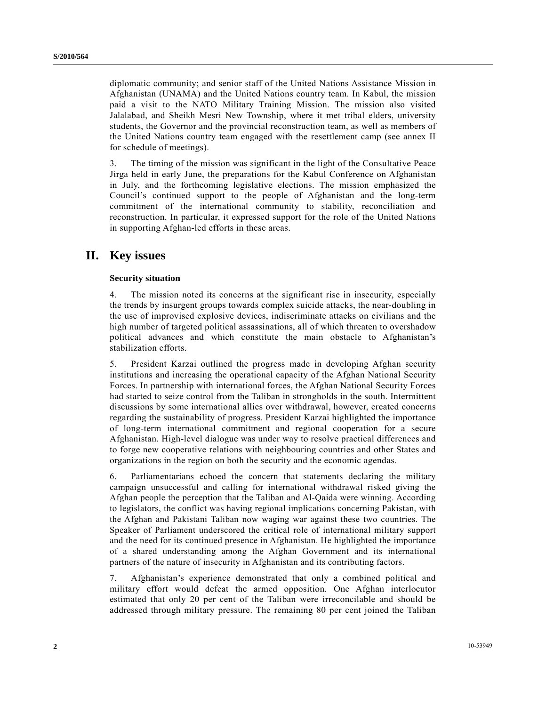diplomatic community; and senior staff of the United Nations Assistance Mission in Afghanistan (UNAMA) and the United Nations country team. In Kabul, the mission paid a visit to the NATO Military Training Mission. The mission also visited Jalalabad, and Sheikh Mesri New Township, where it met tribal elders, university students, the Governor and the provincial reconstruction team, as well as members of the United Nations country team engaged with the resettlement camp (see annex II for schedule of meetings).

3. The timing of the mission was significant in the light of the Consultative Peace Jirga held in early June, the preparations for the Kabul Conference on Afghanistan in July, and the forthcoming legislative elections. The mission emphasized the Council's continued support to the people of Afghanistan and the long-term commitment of the international community to stability, reconciliation and reconstruction. In particular, it expressed support for the role of the United Nations in supporting Afghan-led efforts in these areas.

## **II. Key issues**

### **Security situation**

4. The mission noted its concerns at the significant rise in insecurity, especially the trends by insurgent groups towards complex suicide attacks, the near-doubling in the use of improvised explosive devices, indiscriminate attacks on civilians and the high number of targeted political assassinations, all of which threaten to overshadow political advances and which constitute the main obstacle to Afghanistan's stabilization efforts.

5. President Karzai outlined the progress made in developing Afghan security institutions and increasing the operational capacity of the Afghan National Security Forces. In partnership with international forces, the Afghan National Security Forces had started to seize control from the Taliban in strongholds in the south. Intermittent discussions by some international allies over withdrawal, however, created concerns regarding the sustainability of progress. President Karzai highlighted the importance of long-term international commitment and regional cooperation for a secure Afghanistan. High-level dialogue was under way to resolve practical differences and to forge new cooperative relations with neighbouring countries and other States and organizations in the region on both the security and the economic agendas.

6. Parliamentarians echoed the concern that statements declaring the military campaign unsuccessful and calling for international withdrawal risked giving the Afghan people the perception that the Taliban and Al-Qaida were winning. According to legislators, the conflict was having regional implications concerning Pakistan, with the Afghan and Pakistani Taliban now waging war against these two countries. The Speaker of Parliament underscored the critical role of international military support and the need for its continued presence in Afghanistan. He highlighted the importance of a shared understanding among the Afghan Government and its international partners of the nature of insecurity in Afghanistan and its contributing factors.

7. Afghanistan's experience demonstrated that only a combined political and military effort would defeat the armed opposition. One Afghan interlocutor estimated that only 20 per cent of the Taliban were irreconcilable and should be addressed through military pressure. The remaining 80 per cent joined the Taliban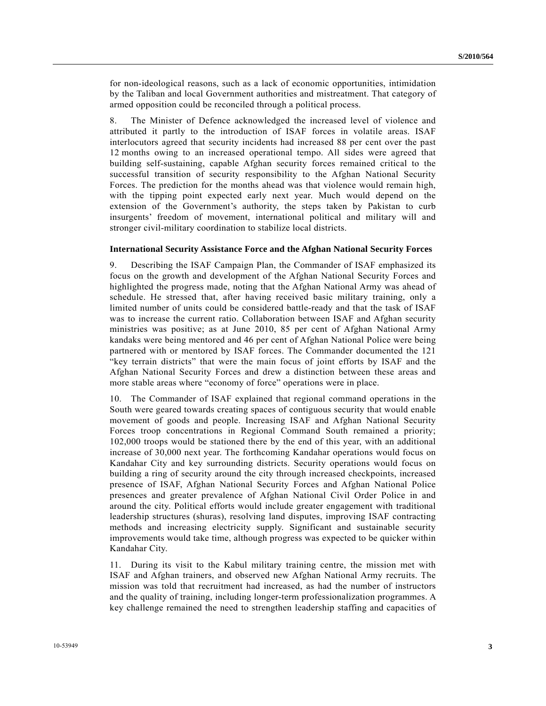for non-ideological reasons, such as a lack of economic opportunities, intimidation by the Taliban and local Government authorities and mistreatment. That category of armed opposition could be reconciled through a political process.

8. The Minister of Defence acknowledged the increased level of violence and attributed it partly to the introduction of ISAF forces in volatile areas. ISAF interlocutors agreed that security incidents had increased 88 per cent over the past 12 months owing to an increased operational tempo. All sides were agreed that building self-sustaining, capable Afghan security forces remained critical to the successful transition of security responsibility to the Afghan National Security Forces. The prediction for the months ahead was that violence would remain high, with the tipping point expected early next year. Much would depend on the extension of the Government's authority, the steps taken by Pakistan to curb insurgents' freedom of movement, international political and military will and stronger civil-military coordination to stabilize local districts.

#### **International Security Assistance Force and the Afghan National Security Forces**

9. Describing the ISAF Campaign Plan, the Commander of ISAF emphasized its focus on the growth and development of the Afghan National Security Forces and highlighted the progress made, noting that the Afghan National Army was ahead of schedule. He stressed that, after having received basic military training, only a limited number of units could be considered battle-ready and that the task of ISAF was to increase the current ratio. Collaboration between ISAF and Afghan security ministries was positive; as at June 2010, 85 per cent of Afghan National Army kandaks were being mentored and 46 per cent of Afghan National Police were being partnered with or mentored by ISAF forces. The Commander documented the 121 "key terrain districts" that were the main focus of joint efforts by ISAF and the Afghan National Security Forces and drew a distinction between these areas and more stable areas where "economy of force" operations were in place.

10. The Commander of ISAF explained that regional command operations in the South were geared towards creating spaces of contiguous security that would enable movement of goods and people. Increasing ISAF and Afghan National Security Forces troop concentrations in Regional Command South remained a priority; 102,000 troops would be stationed there by the end of this year, with an additional increase of 30,000 next year. The forthcoming Kandahar operations would focus on Kandahar City and key surrounding districts. Security operations would focus on building a ring of security around the city through increased checkpoints, increased presence of ISAF, Afghan National Security Forces and Afghan National Police presences and greater prevalence of Afghan National Civil Order Police in and around the city. Political efforts would include greater engagement with traditional leadership structures (shuras), resolving land disputes, improving ISAF contracting methods and increasing electricity supply. Significant and sustainable security improvements would take time, although progress was expected to be quicker within Kandahar City.

11. During its visit to the Kabul military training centre, the mission met with ISAF and Afghan trainers, and observed new Afghan National Army recruits. The mission was told that recruitment had increased, as had the number of instructors and the quality of training, including longer-term professionalization programmes. A key challenge remained the need to strengthen leadership staffing and capacities of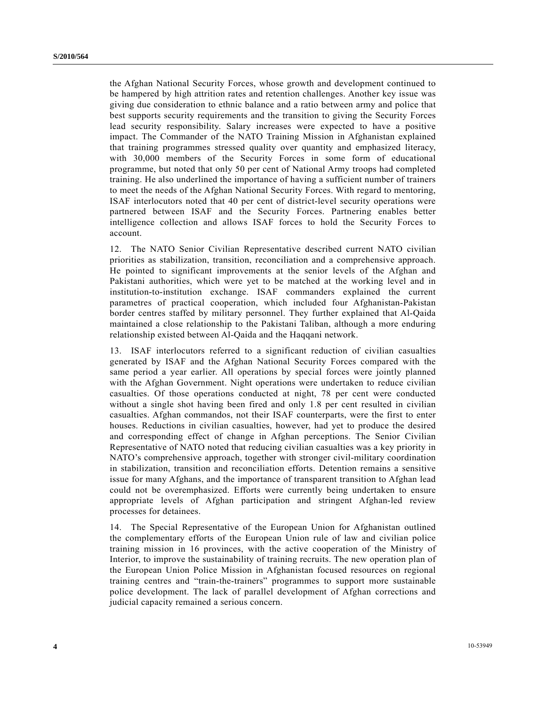the Afghan National Security Forces, whose growth and development continued to be hampered by high attrition rates and retention challenges. Another key issue was giving due consideration to ethnic balance and a ratio between army and police that best supports security requirements and the transition to giving the Security Forces lead security responsibility. Salary increases were expected to have a positive impact. The Commander of the NATO Training Mission in Afghanistan explained that training programmes stressed quality over quantity and emphasized literacy, with 30,000 members of the Security Forces in some form of educational programme, but noted that only 50 per cent of National Army troops had completed training. He also underlined the importance of having a sufficient number of trainers to meet the needs of the Afghan National Security Forces. With regard to mentoring, ISAF interlocutors noted that 40 per cent of district-level security operations were partnered between ISAF and the Security Forces. Partnering enables better intelligence collection and allows ISAF forces to hold the Security Forces to account.

12. The NATO Senior Civilian Representative described current NATO civilian priorities as stabilization, transition, reconciliation and a comprehensive approach. He pointed to significant improvements at the senior levels of the Afghan and Pakistani authorities, which were yet to be matched at the working level and in institution-to-institution exchange. ISAF commanders explained the current parametres of practical cooperation, which included four Afghanistan-Pakistan border centres staffed by military personnel. They further explained that Al-Qaida maintained a close relationship to the Pakistani Taliban, although a more enduring relationship existed between Al-Qaida and the Haqqani network.

13. ISAF interlocutors referred to a significant reduction of civilian casualties generated by ISAF and the Afghan National Security Forces compared with the same period a year earlier. All operations by special forces were jointly planned with the Afghan Government. Night operations were undertaken to reduce civilian casualties. Of those operations conducted at night, 78 per cent were conducted without a single shot having been fired and only 1.8 per cent resulted in civilian casualties. Afghan commandos, not their ISAF counterparts, were the first to enter houses. Reductions in civilian casualties, however, had yet to produce the desired and corresponding effect of change in Afghan perceptions. The Senior Civilian Representative of NATO noted that reducing civilian casualties was a key priority in NATO's comprehensive approach, together with stronger civil-military coordination in stabilization, transition and reconciliation efforts. Detention remains a sensitive issue for many Afghans, and the importance of transparent transition to Afghan lead could not be overemphasized. Efforts were currently being undertaken to ensure appropriate levels of Afghan participation and stringent Afghan-led review processes for detainees.

14. The Special Representative of the European Union for Afghanistan outlined the complementary efforts of the European Union rule of law and civilian police training mission in 16 provinces, with the active cooperation of the Ministry of Interior, to improve the sustainability of training recruits. The new operation plan of the European Union Police Mission in Afghanistan focused resources on regional training centres and "train-the-trainers" programmes to support more sustainable police development. The lack of parallel development of Afghan corrections and judicial capacity remained a serious concern.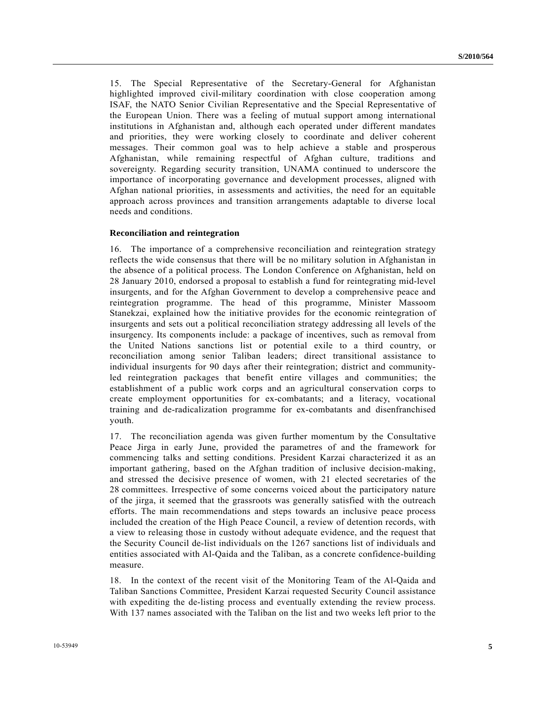15. The Special Representative of the Secretary-General for Afghanistan highlighted improved civil-military coordination with close cooperation among ISAF, the NATO Senior Civilian Representative and the Special Representative of the European Union. There was a feeling of mutual support among international institutions in Afghanistan and, although each operated under different mandates and priorities, they were working closely to coordinate and deliver coherent messages. Their common goal was to help achieve a stable and prosperous Afghanistan, while remaining respectful of Afghan culture, traditions and sovereignty. Regarding security transition, UNAMA continued to underscore the importance of incorporating governance and development processes, aligned with Afghan national priorities, in assessments and activities, the need for an equitable approach across provinces and transition arrangements adaptable to diverse local needs and conditions.

#### **Reconciliation and reintegration**

16. The importance of a comprehensive reconciliation and reintegration strategy reflects the wide consensus that there will be no military solution in Afghanistan in the absence of a political process. The London Conference on Afghanistan, held on 28 January 2010, endorsed a proposal to establish a fund for reintegrating mid-level insurgents, and for the Afghan Government to develop a comprehensive peace and reintegration programme. The head of this programme, Minister Massoom Stanekzai, explained how the initiative provides for the economic reintegration of insurgents and sets out a political reconciliation strategy addressing all levels of the insurgency. Its components include: a package of incentives, such as removal from the United Nations sanctions list or potential exile to a third country, or reconciliation among senior Taliban leaders; direct transitional assistance to individual insurgents for 90 days after their reintegration; district and communityled reintegration packages that benefit entire villages and communities; the establishment of a public work corps and an agricultural conservation corps to create employment opportunities for ex-combatants; and a literacy, vocational training and de-radicalization programme for ex-combatants and disenfranchised youth.

17. The reconciliation agenda was given further momentum by the Consultative Peace Jirga in early June, provided the parametres of and the framework for commencing talks and setting conditions. President Karzai characterized it as an important gathering, based on the Afghan tradition of inclusive decision-making, and stressed the decisive presence of women, with 21 elected secretaries of the 28 committees. Irrespective of some concerns voiced about the participatory nature of the jirga, it seemed that the grassroots was generally satisfied with the outreach efforts. The main recommendations and steps towards an inclusive peace process included the creation of the High Peace Council, a review of detention records, with a view to releasing those in custody without adequate evidence, and the request that the Security Council de-list individuals on the 1267 sanctions list of individuals and entities associated with Al-Qaida and the Taliban, as a concrete confidence-building measure.

18. In the context of the recent visit of the Monitoring Team of the Al-Qaida and Taliban Sanctions Committee, President Karzai requested Security Council assistance with expediting the de-listing process and eventually extending the review process. With 137 names associated with the Taliban on the list and two weeks left prior to the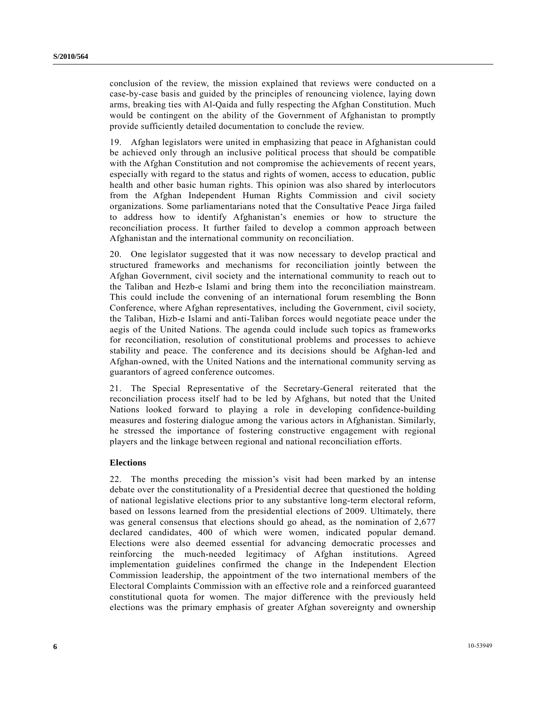conclusion of the review, the mission explained that reviews were conducted on a case-by-case basis and guided by the principles of renouncing violence, laying down arms, breaking ties with Al-Qaida and fully respecting the Afghan Constitution. Much would be contingent on the ability of the Government of Afghanistan to promptly provide sufficiently detailed documentation to conclude the review.

19. Afghan legislators were united in emphasizing that peace in Afghanistan could be achieved only through an inclusive political process that should be compatible with the Afghan Constitution and not compromise the achievements of recent years, especially with regard to the status and rights of women, access to education, public health and other basic human rights. This opinion was also shared by interlocutors from the Afghan Independent Human Rights Commission and civil society organizations. Some parliamentarians noted that the Consultative Peace Jirga failed to address how to identify Afghanistan's enemies or how to structure the reconciliation process. It further failed to develop a common approach between Afghanistan and the international community on reconciliation.

20. One legislator suggested that it was now necessary to develop practical and structured frameworks and mechanisms for reconciliation jointly between the Afghan Government, civil society and the international community to reach out to the Taliban and Hezb-e Islami and bring them into the reconciliation mainstream. This could include the convening of an international forum resembling the Bonn Conference, where Afghan representatives, including the Government, civil society, the Taliban, Hizb-e Islami and anti-Taliban forces would negotiate peace under the aegis of the United Nations. The agenda could include such topics as frameworks for reconciliation, resolution of constitutional problems and processes to achieve stability and peace. The conference and its decisions should be Afghan-led and Afghan-owned, with the United Nations and the international community serving as guarantors of agreed conference outcomes.

21. The Special Representative of the Secretary-General reiterated that the reconciliation process itself had to be led by Afghans, but noted that the United Nations looked forward to playing a role in developing confidence-building measures and fostering dialogue among the various actors in Afghanistan. Similarly, he stressed the importance of fostering constructive engagement with regional players and the linkage between regional and national reconciliation efforts.

#### **Elections**

22. The months preceding the mission's visit had been marked by an intense debate over the constitutionality of a Presidential decree that questioned the holding of national legislative elections prior to any substantive long-term electoral reform, based on lessons learned from the presidential elections of 2009. Ultimately, there was general consensus that elections should go ahead, as the nomination of 2,677 declared candidates, 400 of which were women, indicated popular demand. Elections were also deemed essential for advancing democratic processes and reinforcing the much-needed legitimacy of Afghan institutions. Agreed implementation guidelines confirmed the change in the Independent Election Commission leadership, the appointment of the two international members of the Electoral Complaints Commission with an effective role and a reinforced guaranteed constitutional quota for women. The major difference with the previously held elections was the primary emphasis of greater Afghan sovereignty and ownership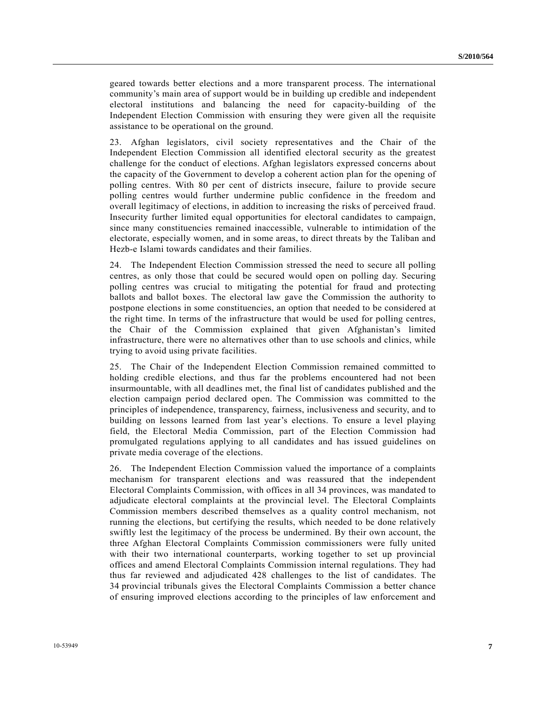geared towards better elections and a more transparent process. The international community's main area of support would be in building up credible and independent electoral institutions and balancing the need for capacity-building of the Independent Election Commission with ensuring they were given all the requisite assistance to be operational on the ground.

23. Afghan legislators, civil society representatives and the Chair of the Independent Election Commission all identified electoral security as the greatest challenge for the conduct of elections. Afghan legislators expressed concerns about the capacity of the Government to develop a coherent action plan for the opening of polling centres. With 80 per cent of districts insecure, failure to provide secure polling centres would further undermine public confidence in the freedom and overall legitimacy of elections, in addition to increasing the risks of perceived fraud. Insecurity further limited equal opportunities for electoral candidates to campaign, since many constituencies remained inaccessible, vulnerable to intimidation of the electorate, especially women, and in some areas, to direct threats by the Taliban and Hezb-e Islami towards candidates and their families.

24. The Independent Election Commission stressed the need to secure all polling centres, as only those that could be secured would open on polling day. Securing polling centres was crucial to mitigating the potential for fraud and protecting ballots and ballot boxes. The electoral law gave the Commission the authority to postpone elections in some constituencies, an option that needed to be considered at the right time. In terms of the infrastructure that would be used for polling centres, the Chair of the Commission explained that given Afghanistan's limited infrastructure, there were no alternatives other than to use schools and clinics, while trying to avoid using private facilities.

25. The Chair of the Independent Election Commission remained committed to holding credible elections, and thus far the problems encountered had not been insurmountable, with all deadlines met, the final list of candidates published and the election campaign period declared open. The Commission was committed to the principles of independence, transparency, fairness, inclusiveness and security, and to building on lessons learned from last year's elections. To ensure a level playing field, the Electoral Media Commission, part of the Election Commission had promulgated regulations applying to all candidates and has issued guidelines on private media coverage of the elections.

26. The Independent Election Commission valued the importance of a complaints mechanism for transparent elections and was reassured that the independent Electoral Complaints Commission, with offices in all 34 provinces, was mandated to adjudicate electoral complaints at the provincial level. The Electoral Complaints Commission members described themselves as a quality control mechanism, not running the elections, but certifying the results, which needed to be done relatively swiftly lest the legitimacy of the process be undermined. By their own account, the three Afghan Electoral Complaints Commission commissioners were fully united with their two international counterparts, working together to set up provincial offices and amend Electoral Complaints Commission internal regulations. They had thus far reviewed and adjudicated 428 challenges to the list of candidates. The 34 provincial tribunals gives the Electoral Complaints Commission a better chance of ensuring improved elections according to the principles of law enforcement and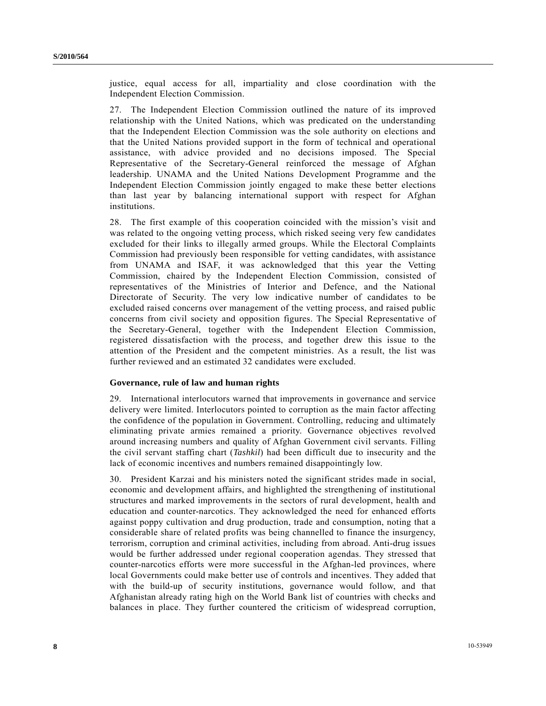justice, equal access for all, impartiality and close coordination with the Independent Election Commission.

27. The Independent Election Commission outlined the nature of its improved relationship with the United Nations, which was predicated on the understanding that the Independent Election Commission was the sole authority on elections and that the United Nations provided support in the form of technical and operational assistance, with advice provided and no decisions imposed. The Special Representative of the Secretary-General reinforced the message of Afghan leadership. UNAMA and the United Nations Development Programme and the Independent Election Commission jointly engaged to make these better elections than last year by balancing international support with respect for Afghan institutions.

28. The first example of this cooperation coincided with the mission's visit and was related to the ongoing vetting process, which risked seeing very few candidates excluded for their links to illegally armed groups. While the Electoral Complaints Commission had previously been responsible for vetting candidates, with assistance from UNAMA and ISAF, it was acknowledged that this year the Vetting Commission, chaired by the Independent Election Commission, consisted of representatives of the Ministries of Interior and Defence, and the National Directorate of Security. The very low indicative number of candidates to be excluded raised concerns over management of the vetting process, and raised public concerns from civil society and opposition figures. The Special Representative of the Secretary-General, together with the Independent Election Commission, registered dissatisfaction with the process, and together drew this issue to the attention of the President and the competent ministries. As a result, the list was further reviewed and an estimated 32 candidates were excluded.

### **Governance, rule of law and human rights**

29. International interlocutors warned that improvements in governance and service delivery were limited. Interlocutors pointed to corruption as the main factor affecting the confidence of the population in Government. Controlling, reducing and ultimately eliminating private armies remained a priority. Governance objectives revolved around increasing numbers and quality of Afghan Government civil servants. Filling the civil servant staffing chart (*Tashkil*) had been difficult due to insecurity and the lack of economic incentives and numbers remained disappointingly low.

30. President Karzai and his ministers noted the significant strides made in social, economic and development affairs, and highlighted the strengthening of institutional structures and marked improvements in the sectors of rural development, health and education and counter-narcotics. They acknowledged the need for enhanced efforts against poppy cultivation and drug production, trade and consumption, noting that a considerable share of related profits was being channelled to finance the insurgency, terrorism, corruption and criminal activities, including from abroad. Anti-drug issues would be further addressed under regional cooperation agendas. They stressed that counter-narcotics efforts were more successful in the Afghan-led provinces, where local Governments could make better use of controls and incentives. They added that with the build-up of security institutions, governance would follow, and that Afghanistan already rating high on the World Bank list of countries with checks and balances in place. They further countered the criticism of widespread corruption,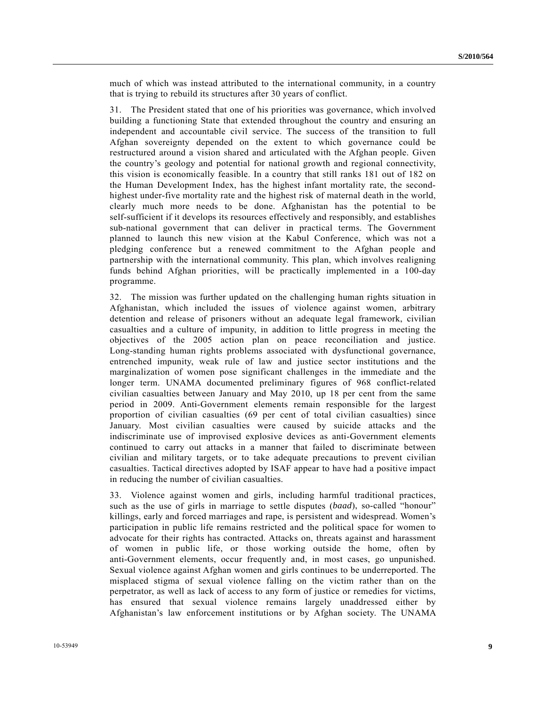much of which was instead attributed to the international community, in a country that is trying to rebuild its structures after 30 years of conflict.

31. The President stated that one of his priorities was governance, which involved building a functioning State that extended throughout the country and ensuring an independent and accountable civil service. The success of the transition to full Afghan sovereignty depended on the extent to which governance could be restructured around a vision shared and articulated with the Afghan people. Given the country's geology and potential for national growth and regional connectivity, this vision is economically feasible. In a country that still ranks 181 out of 182 on the Human Development Index, has the highest infant mortality rate, the secondhighest under-five mortality rate and the highest risk of maternal death in the world, clearly much more needs to be done. Afghanistan has the potential to be self-sufficient if it develops its resources effectively and responsibly, and establishes sub-national government that can deliver in practical terms. The Government planned to launch this new vision at the Kabul Conference, which was not a pledging conference but a renewed commitment to the Afghan people and partnership with the international community. This plan, which involves realigning funds behind Afghan priorities, will be practically implemented in a 100-day programme.

32. The mission was further updated on the challenging human rights situation in Afghanistan, which included the issues of violence against women, arbitrary detention and release of prisoners without an adequate legal framework, civilian casualties and a culture of impunity, in addition to little progress in meeting the objectives of the 2005 action plan on peace reconciliation and justice. Long-standing human rights problems associated with dysfunctional governance, entrenched impunity, weak rule of law and justice sector institutions and the marginalization of women pose significant challenges in the immediate and the longer term. UNAMA documented preliminary figures of 968 conflict-related civilian casualties between January and May 2010, up 18 per cent from the same period in 2009. Anti-Government elements remain responsible for the largest proportion of civilian casualties (69 per cent of total civilian casualties) since January. Most civilian casualties were caused by suicide attacks and the indiscriminate use of improvised explosive devices as anti-Government elements continued to carry out attacks in a manner that failed to discriminate between civilian and military targets, or to take adequate precautions to prevent civilian casualties. Tactical directives adopted by ISAF appear to have had a positive impact in reducing the number of civilian casualties.

33. Violence against women and girls, including harmful traditional practices, such as the use of girls in marriage to settle disputes (*baad*), so-called "honour" killings, early and forced marriages and rape, is persistent and widespread. Women's participation in public life remains restricted and the political space for women to advocate for their rights has contracted. Attacks on, threats against and harassment of women in public life, or those working outside the home, often by anti-Government elements, occur frequently and, in most cases, go unpunished. Sexual violence against Afghan women and girls continues to be underreported. The misplaced stigma of sexual violence falling on the victim rather than on the perpetrator, as well as lack of access to any form of justice or remedies for victims, has ensured that sexual violence remains largely unaddressed either by Afghanistan's law enforcement institutions or by Afghan society. The UNAMA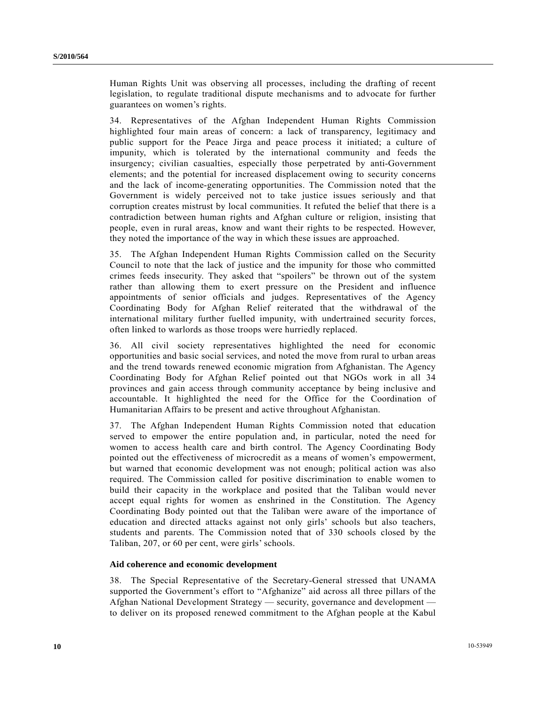Human Rights Unit was observing all processes, including the drafting of recent legislation, to regulate traditional dispute mechanisms and to advocate for further guarantees on women's rights.

34. Representatives of the Afghan Independent Human Rights Commission highlighted four main areas of concern: a lack of transparency, legitimacy and public support for the Peace Jirga and peace process it initiated; a culture of impunity, which is tolerated by the international community and feeds the insurgency; civilian casualties, especially those perpetrated by anti-Government elements; and the potential for increased displacement owing to security concerns and the lack of income-generating opportunities. The Commission noted that the Government is widely perceived not to take justice issues seriously and that corruption creates mistrust by local communities. It refuted the belief that there is a contradiction between human rights and Afghan culture or religion, insisting that people, even in rural areas, know and want their rights to be respected. However, they noted the importance of the way in which these issues are approached.

35. The Afghan Independent Human Rights Commission called on the Security Council to note that the lack of justice and the impunity for those who committed crimes feeds insecurity. They asked that "spoilers" be thrown out of the system rather than allowing them to exert pressure on the President and influence appointments of senior officials and judges. Representatives of the Agency Coordinating Body for Afghan Relief reiterated that the withdrawal of the international military further fuelled impunity, with undertrained security forces, often linked to warlords as those troops were hurriedly replaced.

36. All civil society representatives highlighted the need for economic opportunities and basic social services, and noted the move from rural to urban areas and the trend towards renewed economic migration from Afghanistan. The Agency Coordinating Body for Afghan Relief pointed out that NGOs work in all 34 provinces and gain access through community acceptance by being inclusive and accountable. It highlighted the need for the Office for the Coordination of Humanitarian Affairs to be present and active throughout Afghanistan.

37. The Afghan Independent Human Rights Commission noted that education served to empower the entire population and, in particular, noted the need for women to access health care and birth control. The Agency Coordinating Body pointed out the effectiveness of microcredit as a means of women's empowerment, but warned that economic development was not enough; political action was also required. The Commission called for positive discrimination to enable women to build their capacity in the workplace and posited that the Taliban would never accept equal rights for women as enshrined in the Constitution. The Agency Coordinating Body pointed out that the Taliban were aware of the importance of education and directed attacks against not only girls' schools but also teachers, students and parents. The Commission noted that of 330 schools closed by the Taliban, 207, or 60 per cent, were girls' schools.

### **Aid coherence and economic development**

38. The Special Representative of the Secretary-General stressed that UNAMA supported the Government's effort to "Afghanize" aid across all three pillars of the Afghan National Development Strategy — security, governance and development to deliver on its proposed renewed commitment to the Afghan people at the Kabul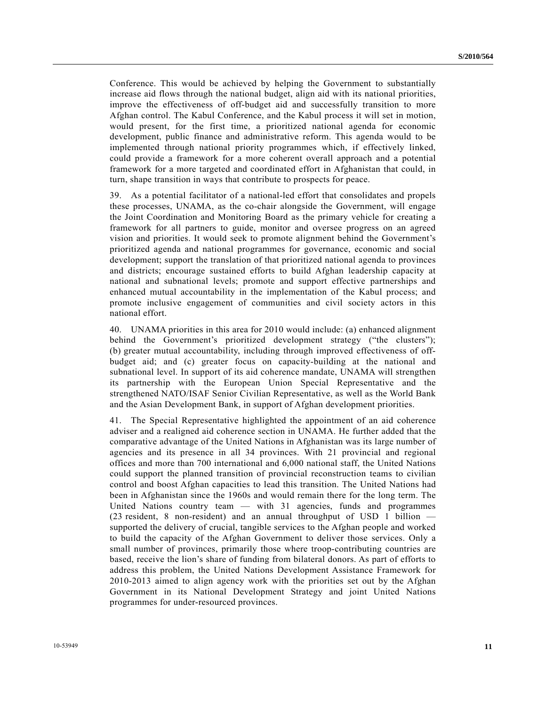Conference. This would be achieved by helping the Government to substantially increase aid flows through the national budget, align aid with its national priorities, improve the effectiveness of off-budget aid and successfully transition to more Afghan control. The Kabul Conference, and the Kabul process it will set in motion, would present, for the first time, a prioritized national agenda for economic development, public finance and administrative reform. This agenda would to be implemented through national priority programmes which, if effectively linked, could provide a framework for a more coherent overall approach and a potential framework for a more targeted and coordinated effort in Afghanistan that could, in turn, shape transition in ways that contribute to prospects for peace.

39. As a potential facilitator of a national-led effort that consolidates and propels these processes, UNAMA, as the co-chair alongside the Government, will engage the Joint Coordination and Monitoring Board as the primary vehicle for creating a framework for all partners to guide, monitor and oversee progress on an agreed vision and priorities. It would seek to promote alignment behind the Government's prioritized agenda and national programmes for governance, economic and social development; support the translation of that prioritized national agenda to provinces and districts; encourage sustained efforts to build Afghan leadership capacity at national and subnational levels; promote and support effective partnerships and enhanced mutual accountability in the implementation of the Kabul process; and promote inclusive engagement of communities and civil society actors in this national effort.

40. UNAMA priorities in this area for 2010 would include: (a) enhanced alignment behind the Government's prioritized development strategy ("the clusters"); (b) greater mutual accountability, including through improved effectiveness of offbudget aid; and (c) greater focus on capacity-building at the national and subnational level. In support of its aid coherence mandate, UNAMA will strengthen its partnership with the European Union Special Representative and the strengthened NATO/ISAF Senior Civilian Representative, as well as the World Bank and the Asian Development Bank, in support of Afghan development priorities.

41. The Special Representative highlighted the appointment of an aid coherence adviser and a realigned aid coherence section in UNAMA. He further added that the comparative advantage of the United Nations in Afghanistan was its large number of agencies and its presence in all 34 provinces. With 21 provincial and regional offices and more than 700 international and 6,000 national staff, the United Nations could support the planned transition of provincial reconstruction teams to civilian control and boost Afghan capacities to lead this transition. The United Nations had been in Afghanistan since the 1960s and would remain there for the long term. The United Nations country team — with 31 agencies, funds and programmes (23 resident, 8 non-resident) and an annual throughput of USD 1 billion supported the delivery of crucial, tangible services to the Afghan people and worked to build the capacity of the Afghan Government to deliver those services. Only a small number of provinces, primarily those where troop-contributing countries are based, receive the lion's share of funding from bilateral donors. As part of efforts to address this problem, the United Nations Development Assistance Framework for 2010-2013 aimed to align agency work with the priorities set out by the Afghan Government in its National Development Strategy and joint United Nations programmes for under-resourced provinces.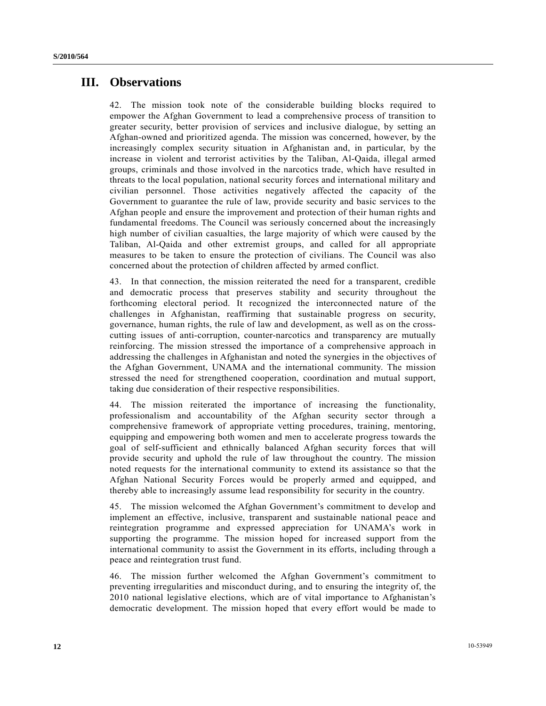## **III. Observations**

42. The mission took note of the considerable building blocks required to empower the Afghan Government to lead a comprehensive process of transition to greater security, better provision of services and inclusive dialogue, by setting an Afghan-owned and prioritized agenda. The mission was concerned, however, by the increasingly complex security situation in Afghanistan and, in particular, by the increase in violent and terrorist activities by the Taliban, Al-Qaida, illegal armed groups, criminals and those involved in the narcotics trade, which have resulted in threats to the local population, national security forces and international military and civilian personnel. Those activities negatively affected the capacity of the Government to guarantee the rule of law, provide security and basic services to the Afghan people and ensure the improvement and protection of their human rights and fundamental freedoms. The Council was seriously concerned about the increasingly high number of civilian casualties, the large majority of which were caused by the Taliban, Al-Qaida and other extremist groups, and called for all appropriate measures to be taken to ensure the protection of civilians. The Council was also concerned about the protection of children affected by armed conflict.

43. In that connection, the mission reiterated the need for a transparent, credible and democratic process that preserves stability and security throughout the forthcoming electoral period. It recognized the interconnected nature of the challenges in Afghanistan, reaffirming that sustainable progress on security, governance, human rights, the rule of law and development, as well as on the crosscutting issues of anti-corruption, counter-narcotics and transparency are mutually reinforcing. The mission stressed the importance of a comprehensive approach in addressing the challenges in Afghanistan and noted the synergies in the objectives of the Afghan Government, UNAMA and the international community. The mission stressed the need for strengthened cooperation, coordination and mutual support, taking due consideration of their respective responsibilities.

44. The mission reiterated the importance of increasing the functionality, professionalism and accountability of the Afghan security sector through a comprehensive framework of appropriate vetting procedures, training, mentoring, equipping and empowering both women and men to accelerate progress towards the goal of self-sufficient and ethnically balanced Afghan security forces that will provide security and uphold the rule of law throughout the country. The mission noted requests for the international community to extend its assistance so that the Afghan National Security Forces would be properly armed and equipped, and thereby able to increasingly assume lead responsibility for security in the country.

45. The mission welcomed the Afghan Government's commitment to develop and implement an effective, inclusive, transparent and sustainable national peace and reintegration programme and expressed appreciation for UNAMA's work in supporting the programme. The mission hoped for increased support from the international community to assist the Government in its efforts, including through a peace and reintegration trust fund.

46. The mission further welcomed the Afghan Government's commitment to preventing irregularities and misconduct during, and to ensuring the integrity of, the 2010 national legislative elections, which are of vital importance to Afghanistan's democratic development. The mission hoped that every effort would be made to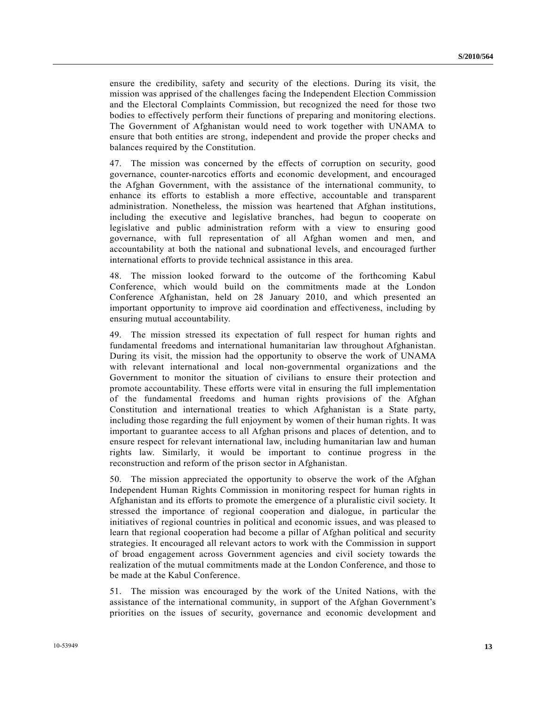ensure the credibility, safety and security of the elections. During its visit, the mission was apprised of the challenges facing the Independent Election Commission and the Electoral Complaints Commission, but recognized the need for those two bodies to effectively perform their functions of preparing and monitoring elections. The Government of Afghanistan would need to work together with UNAMA to ensure that both entities are strong, independent and provide the proper checks and balances required by the Constitution.

47. The mission was concerned by the effects of corruption on security, good governance, counter-narcotics efforts and economic development, and encouraged the Afghan Government, with the assistance of the international community, to enhance its efforts to establish a more effective, accountable and transparent administration. Nonetheless, the mission was heartened that Afghan institutions, including the executive and legislative branches, had begun to cooperate on legislative and public administration reform with a view to ensuring good governance, with full representation of all Afghan women and men, and accountability at both the national and subnational levels, and encouraged further international efforts to provide technical assistance in this area.

48. The mission looked forward to the outcome of the forthcoming Kabul Conference, which would build on the commitments made at the London Conference Afghanistan, held on 28 January 2010, and which presented an important opportunity to improve aid coordination and effectiveness, including by ensuring mutual accountability.

49. The mission stressed its expectation of full respect for human rights and fundamental freedoms and international humanitarian law throughout Afghanistan. During its visit, the mission had the opportunity to observe the work of UNAMA with relevant international and local non-governmental organizations and the Government to monitor the situation of civilians to ensure their protection and promote accountability. These efforts were vital in ensuring the full implementation of the fundamental freedoms and human rights provisions of the Afghan Constitution and international treaties to which Afghanistan is a State party, including those regarding the full enjoyment by women of their human rights. It was important to guarantee access to all Afghan prisons and places of detention, and to ensure respect for relevant international law, including humanitarian law and human rights law. Similarly, it would be important to continue progress in the reconstruction and reform of the prison sector in Afghanistan.

50. The mission appreciated the opportunity to observe the work of the Afghan Independent Human Rights Commission in monitoring respect for human rights in Afghanistan and its efforts to promote the emergence of a pluralistic civil society. It stressed the importance of regional cooperation and dialogue, in particular the initiatives of regional countries in political and economic issues, and was pleased to learn that regional cooperation had become a pillar of Afghan political and security strategies. It encouraged all relevant actors to work with the Commission in support of broad engagement across Government agencies and civil society towards the realization of the mutual commitments made at the London Conference, and those to be made at the Kabul Conference.

51. The mission was encouraged by the work of the United Nations, with the assistance of the international community, in support of the Afghan Government's priorities on the issues of security, governance and economic development and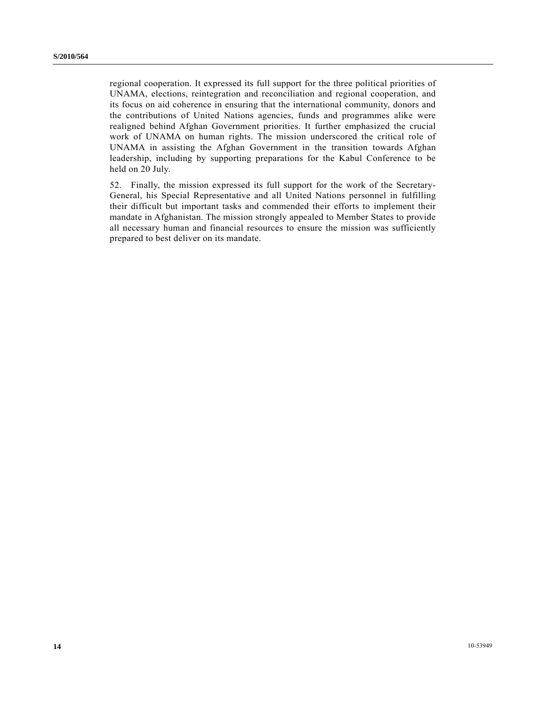regional cooperation. It expressed its full support for the three political priorities of UNAMA, elections, reintegration and reconciliation and regional cooperation, and its focus on aid coherence in ensuring that the international community, donors and the contributions of United Nations agencies, funds and programmes alike were realigned behind Afghan Government priorities. It further emphasized the crucial work of UNAMA on human rights. The mission underscored the critical role of UNAMA in assisting the Afghan Government in the transition towards Afghan leadership, including by supporting preparations for the Kabul Conference to be held on 20 July.

52. Finally, the mission expressed its full support for the work of the Secretary-General, his Special Representative and all United Nations personnel in fulfilling their difficult but important tasks and commended their efforts to implement their mandate in Afghanistan. The mission strongly appealed to Member States to provide all necessary human and financial resources to ensure the mission was sufficiently prepared to best deliver on its mandate.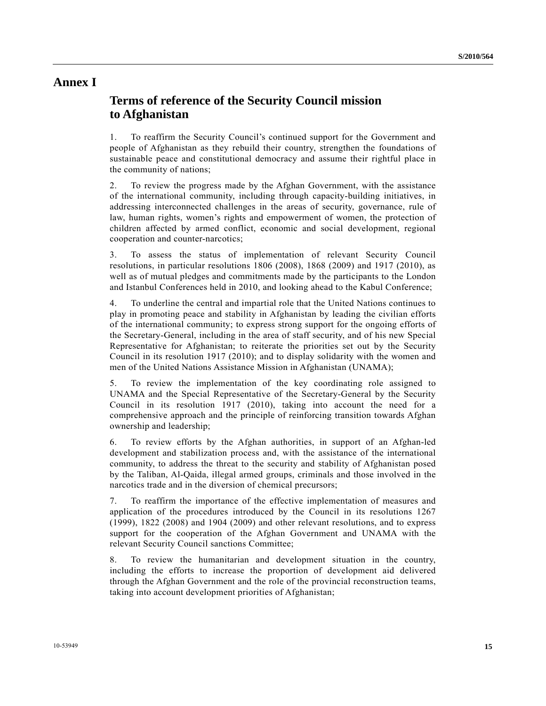### **Annex I**

# **Terms of reference of the Security Council mission to Afghanistan**

1. To reaffirm the Security Council's continued support for the Government and people of Afghanistan as they rebuild their country, strengthen the foundations of sustainable peace and constitutional democracy and assume their rightful place in the community of nations;

2. To review the progress made by the Afghan Government, with the assistance of the international community, including through capacity-building initiatives, in addressing interconnected challenges in the areas of security, governance, rule of law, human rights, women's rights and empowerment of women, the protection of children affected by armed conflict, economic and social development, regional cooperation and counter-narcotics;

3. To assess the status of implementation of relevant Security Council resolutions, in particular resolutions 1806 (2008), 1868 (2009) and 1917 (2010), as well as of mutual pledges and commitments made by the participants to the London and Istanbul Conferences held in 2010, and looking ahead to the Kabul Conference;

4. To underline the central and impartial role that the United Nations continues to play in promoting peace and stability in Afghanistan by leading the civilian efforts of the international community; to express strong support for the ongoing efforts of the Secretary-General, including in the area of staff security, and of his new Special Representative for Afghanistan; to reiterate the priorities set out by the Security Council in its resolution 1917 (2010); and to display solidarity with the women and men of the United Nations Assistance Mission in Afghanistan (UNAMA);

5. To review the implementation of the key coordinating role assigned to UNAMA and the Special Representative of the Secretary-General by the Security Council in its resolution 1917 (2010), taking into account the need for a comprehensive approach and the principle of reinforcing transition towards Afghan ownership and leadership;

6. To review efforts by the Afghan authorities, in support of an Afghan-led development and stabilization process and, with the assistance of the international community, to address the threat to the security and stability of Afghanistan posed by the Taliban, Al-Qaida, illegal armed groups, criminals and those involved in the narcotics trade and in the diversion of chemical precursors;

7. To reaffirm the importance of the effective implementation of measures and application of the procedures introduced by the Council in its resolutions 1267 (1999), 1822 (2008) and 1904 (2009) and other relevant resolutions, and to express support for the cooperation of the Afghan Government and UNAMA with the relevant Security Council sanctions Committee;

8. To review the humanitarian and development situation in the country, including the efforts to increase the proportion of development aid delivered through the Afghan Government and the role of the provincial reconstruction teams, taking into account development priorities of Afghanistan;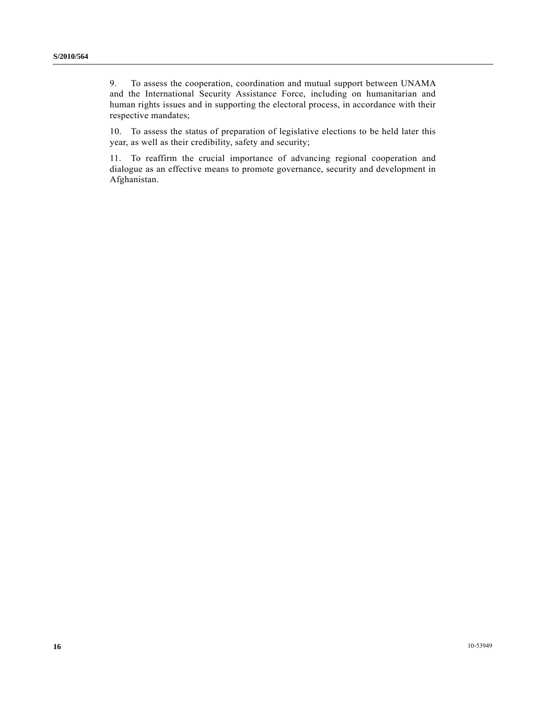9. To assess the cooperation, coordination and mutual support between UNAMA and the International Security Assistance Force, including on humanitarian and human rights issues and in supporting the electoral process, in accordance with their respective mandates;

10. To assess the status of preparation of legislative elections to be held later this year, as well as their credibility, safety and security;

11. To reaffirm the crucial importance of advancing regional cooperation and dialogue as an effective means to promote governance, security and development in Afghanistan.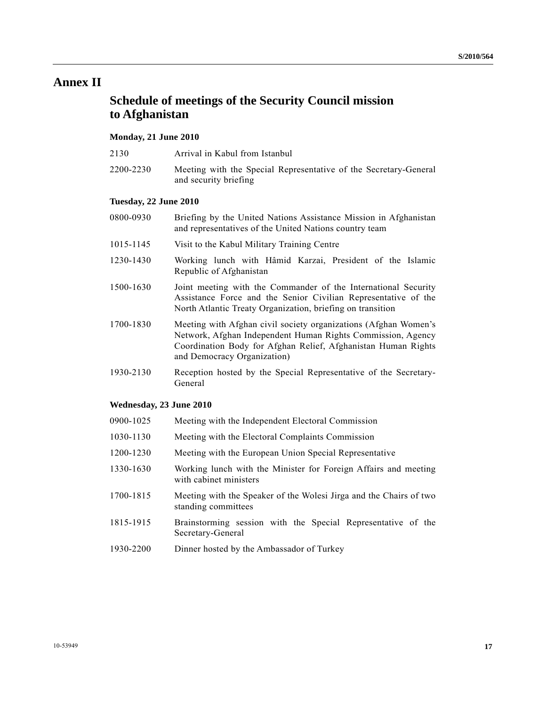# **Annex II**

## **Schedule of meetings of the Security Council mission to Afghanistan**

### **Monday, 21 June 2010**

2200-2230 Meeting with the Special Representative of the Secretary-General and security briefing

#### **Tuesday, 22 June 2010**

- 0800-0930 Briefing by the United Nations Assistance Mission in Afghanistan and representatives of the United Nations country team
- 1015-1145 Visit to the Kabul Military Training Centre
- 1230-1430 Working lunch with Hâmid Karzai, President of the Islamic Republic of Afghanistan
- 1500-1630 Joint meeting with the Commander of the International Security Assistance Force and the Senior Civilian Representative of the North Atlantic Treaty Organization, briefing on transition
- 1700-1830 Meeting with Afghan civil society organizations (Afghan Women's Network, Afghan Independent Human Rights Commission, Agency Coordination Body for Afghan Relief, Afghanistan Human Rights and Democracy Organization)
- 1930-2130 Reception hosted by the Special Representative of the Secretary-General

#### **Wednesday, 23 June 2010**

- 0900-1025 Meeting with the Independent Electoral Commission
- 1030-1130 Meeting with the Electoral Complaints Commission
- 1200-1230 Meeting with the European Union Special Representative
- 1330-1630 Working lunch with the Minister for Foreign Affairs and meeting with cabinet ministers
- 1700-1815 Meeting with the Speaker of the Wolesi Jirga and the Chairs of two standing committees
- 1815-1915 Brainstorming session with the Special Representative of the Secretary-General
- 1930-2200 Dinner hosted by the Ambassador of Turkey